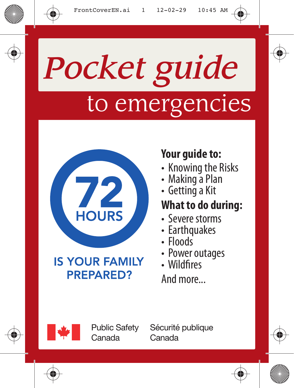# *Pocket guide* to emergencies



### **IS YOUR FAMILY PREPARED?**

### **Your guide to:**

- Knowing the Risks
- Making a Plan
- Getting a Kit

### **What to do during:**

- Severe storms
- Earthquakes
- Floods
- Power outages
- Wildfires

And more...



**Public Safetv** Canada

Sécurité publique Canada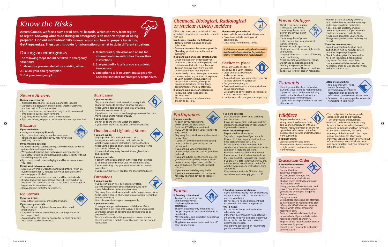### *Chemical, Biological, Radiological or Nuclear (CBRN) Incident*

*Earthquakes*

**If you are inside:**

- Stay away from windows and shelves with • Be prepared for aftershocks. • Stay calm. Help others if you are able.
	- Place a HELP sign in your window if you need assistance and call 9-1-1.
	- Do not light matches or turn on light switches. Any flame or spark can cause an explosion if there are gas leaks.
	- Exit your home and check for damage. If you suspect the structure is unsafe, or there is a gas leak, evacuate your home. • If you feel it is safe to stay where you are,
	- monitor radio, television and online for weather warnings and instructions from authorities.
	- If tap water is available, fill bathtub or containers in case supply gets cut off.

**If flooding has already begun:** 

• If you can't go under something strong, crouch or flatten yourself against an

• As soon as you feel shaking, **DROP** down and crawl under furniture. **COVER** your head neck. **HOLD ON** to the object you are under to

stay covered.

heavy objects.

• **If you are in a building:** stay inside. • **If you are in an elevator:** hit the button for every floor and get out as soon as

interior wall.

• **If you are in a wheelchair:** lock the wheels and protect the back of your head

and neck.

• **If you are in bed:** stay there and protect your head with a pillow, unless you are below a heavy object that could fall on you. In that case, move to the nearest

safe area.

you can.

### **If you are outside:**

- Stay away from power lines, buildings and the shore.
- **If you are in a vehicle:** pull over and stay inside. Place a HELP sign in your window if you need assistance.

### **When the shaking stops:**

• You may encounter flood waters. Before going anywhere, pay attention to radio, television or online for



### *Power Outages*

• Check if the power outage is limited to your home. If your neighbours have power, check your circuit breakers.



- If your neighbours' power is also out, contact your electrical supply company.
- Turn off all tools, appliances, electronics, and all but one light inside and outside.
- Use your thermostat to turn off heating or air conditioning.
- Avoid opening your freezer or fridge.
- Do not use barbeques, camping heating equipment, or home generators indoors. They can produce dangerous levels of carbon monoxide.

**Across Canada, we face a number of natural hazards, which can vary from region to region. Knowing what to do during an emergency is an important part of being prepared. Find out more about risks in your region and how to prepare by visiting GetPrepared.ca**. Then use this quide for information on what to do in different situations.

- Monitor a crank or battery-powered radio and online for weather warnings and instructions from authorities.
- If possible, use a battery or crankpowered light source. If you must use candles, use proper candle holders. Never leave lit candles unattended. Always extinguish candles before going to bed.

### **When the power returns:**

- In cold weather, turn heating back on first, then wait 10 minutes before reconnecting everything else.
- Check food supplies. If a freezer door has been kept closed, food should stay frozen for 24-36 hours. Food contaminated with bacteria does not necessarily smell or look spoiled. When in doubt, throw it out.

- Stay in your vehicle. Open the window slightly for fresh air. Run the engine for 10 minutes every half hour unless the exhaust pipe is blocked.
- To keep warm, exercise your hands and feet periodically. • If shovelling, avoid overexerting yourself. Overexertion in
- the bitter cold can cause death as a result of a heart attack or hypothermia from sweating.
- Keep a lookout for traffic or searchers.

### *Tsunamis*

- Do not go near the shore to watch a tsunami. Move inland to higher ground. If you can't get to higher ground, stay inside on the landward side of the building, away from windows.
- If you are in a safe place when a tsunami hits, stay put.

### **After a tsunami hits:**

information or evacuation instructions. • Be aware that you may get hypothermia from being in cold water.

## *Wildfi res*



- Be prepared to evacuate at any time. If told to evacuate, take your emergency kit with you.
- Monitor radio, television or online for up-to-date information on the fire, possible road closures and instructions from authorities.

### **If you have time:**

- Close all windows and doors.
- Move combustible materials such as light curtains and furniture away from windows.
- Turn on lights in the house, porch, garage and yard to aid visibility.
- Turn off propane or natural gas.
- Move all combustibles outside away from the house, including firewood, propane barbeques and lawn furniture.
- Cover vents, windows, and other openings of the house with duct tape and/or precut pieces of plywood.
- Park your vehicle positioned forward out of the driveway. Keep windows closed and pack valuables and your emergency kit in the vehicle.



**If flooding is imminent:** • Turn off basement furnace

• Shut off electricity only if flooding has not yet begun and area around electrical

## *Know the Risks*

• Do not enter a flooded basement that may contain live wires or appliances.

• If the main power switch was not turned off prior to flooding, do not re-enter your home until a qualified electrician has

### *Severe Storms*

#### substance **If you are in an enclosed, affected area:**

### **During severe storms**

- If possible, take shelter in a building and stay indoors.
- Monitor radio, television and online for weather warnings and instructions from authorities.
- If you have time, secure items that might be blown around or torn loose, such as lawn furniture.
- Stay away from windows, doors, and fireplaces.
- If you are driving, stop your car away from trees or power lines.

### Blizzards

### **If you are inside:**

- Have your emergency kit ready.
- If you have time, string a rope between your house and any outbuildings you may have to go to during the storm.

### **If you must go outside:**

- Be aware that you can become quickly disoriented and may get frostbite and hypothermia.
- Wear a hooded jacket, hat, mittens and warm footwear.
- Do not try to walk to another building in low visibility without something to guide you.
- If you must travel, do so in daylight and let someone know your plans.

### **If your vehicle becomes stuck:**

### Ice Storms

- **If you are inside:**
- Stay indoors unless you are told to evacuate. **If you must go outside:**
- Pay attention to high branches or wires that could
- break and fall.
- Stay well away from power lines, as hanging wires may be charged (live).
- Avoid driving. Wait several hours after freezing rain ends to allow for road maintenance.

### Hurricanes

#### **If you are inside:**

- Stay in a safe place; hurricane winds can quickly change in opposite direction or grow stronger. • Avoid using a corded phone and stay away from items that conduct electricity.
- If you live on the coast or in a low-lying area near the coast,

#### move inland and to higher ground. **If you are outside:**

• Do not go to the shore to watch the storm. • If you are on the water, head for shore immediately.

## Thunder and Lightning Storms

### **If you are inside:**

- Unplug radios, TVs, and appliances. Use a battery-operated or wind-up radio to listen for
- weather warnings and instructions from authorities. • Avoid using a corded phone and stay away from items
- that conduct electricity.
- If there is hail, stay away from windows, glass doors, and skylights.

### **If you are outside:**

- If caught in the open, crouch in the "leap frog" position to minimize ground contact. Do not go under a tree. • If you are driving, stop your vehicle away from trees or
- power lines.
- If you are on the water, head for the shore immediately.

### Tornadoes

### **If you are inside:**

- If you are in a high-rise, do not use elevators. • Go to the basement or small interior ground floor room. Take shelter under a table or desk.
- Stay away from windows, outside walls, fireplaces and doors.
- Avoid using a corded phone and stay away from items that
- conduct electricity.
- Limit phone calls to urgent messages only.

### **If you are outside:**

• If time permits, go to the nearest solid shelter. If not, take cover in a low lying area such as a ditch and protect your head. Beware of flooding and downpours and be prepared to move.

• Do not shelter under a bridge as winds can accelerate. • Do not shelter in a mobile home that does not have a solid foundation.

### *Floods*

and main gas valves. Unplug appliances and

electronics.

panel is dry.

• Move furniture and important belongings

above ground level.

• Plug basement sewer drains and shut off

toilet connections.





• If you have not already shut off electricity, do not attempt to do so once water has

entered your home.

**After a flood:** 

• Do not return home until authorities

advise it is safe.

determined it is safe.

your home after a flood.

• Use extreme caution when returning to

CBRN substances are a health risk if they are inhaled, ingested or come into contact with skin.

### **In all cases, consider the following:**

- **Time**: minimize exposure to a CBRN substance
- **Distance**: remain as far away as possible • **Shielding**: protect yourself from the

- Cover exposed skin and protect your airways (e.g. by using a damp cloth) and minimize contact with the substance.
- Turn off or move away from internal air conditioning or heating vents.
- Immediately contact emergency services. • If you experience symptoms of exposure to CBRN substances (e.g. dizziness, perspiration, vomiting, change in breathing, heart rate, or skin tone), seek immediate medical attention.
- **If you are in an open, affected area:**
- Follow the same steps as for an enclosed area.
- Move away from the release site as quickly as possible.

### **If you are in your vehicle:**

- Keep vehicle vents and windows closed.
- Do not use vehicle heating or air
- conditioning. • Drive away from the release site.

## Shelter-in-place

- If you are told to shelter-inplace due to a CBRN incident: • Close and lock all windows
- and exterior doors. • Turn off all fans, heating and A/C systems
- to avoid drawing in outside air. • Get your emergency kit.
- Go to an interior room without windows above ground level.
- Use duct tape or wet cloths to seal cracks around doors and vents.
- Limit phone calls to urgent messages only.

### Evacuation Order

#### **If ordered to evacuate:**  • Follow instructions

- from authorities.
- Take your emergency kit, plan, medications, wallet, identification, and cell phone.
- Shut off water, electricity and gas if instructed to do so.
- Notify your out-of-town contact and leave a note inside indicating when you left and where you are going (if time permits).
- Lock your home.
- Use specified routes and pay attention to information on road closures. Stay off any identified "disaster response routes" which are for emergency responders only.
- Do not cross a flooded area by foot or in a vehicle. If your vehicle stalls in fast-rising waters, abandon it.
- Register with a local reception centre in person or by phone.
- Do not return home until authorities advise it is safe.

## During an emergency

**The following steps should be taken in emergency situations:**

- **1. Make sure you are safe before assisting others.**
- **2. Follow your emergency plan.**
- **3. Get your emergency kit.**
- **4. Monitor radio, television and online for information from authorities. Follow their instructions.**
- **5. Stay put until it is safe or you are ordered to evacuate.**
- **6. Limit phone calls to urgent messages only. Keep the lines free for emergency responders.**

### *In all situations, monitor radio, television or online for information from authorities. They will tell you whether you need to shelter-in-place or evacuate.*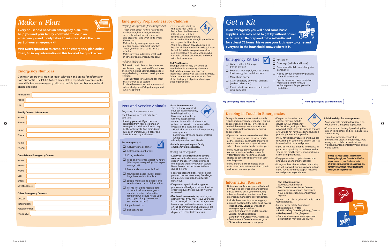### Emergency Numbers

During an emergency monitor radio, television and online for information from authorities. Call 9-1-1 (where available) to report a fire, a crime, or to save a life. For non-emergency calls, use the 10-digit number in your local phone directory:

| Ambulance:                        |  |  |
|-----------------------------------|--|--|
| Police:                           |  |  |
| Fire:                             |  |  |
| <b>Family Contact Information</b> |  |  |
| Name:                             |  |  |
| Phone:                            |  |  |
|                                   |  |  |
| Name:                             |  |  |
| Phone:                            |  |  |

Name: Phone:

### **Out-of-Town Emergency Contact**

| Name:                  |  |
|------------------------|--|
| Home:                  |  |
| Work:                  |  |
| Cell:                  |  |
| Email:                 |  |
| <b>Street address:</b> |  |

### **Other Emergency Contacts**

| Doctor:         |  |
|-----------------|--|
| Veterinarian:   |  |
| Poison control: |  |
| Pharmacy:       |  |



### Emergency Kit List

• **Identify your pet.** If you become separated from your pet during an emergency, their identification may be the only way to find them. Make sure each animal wears a collar and identification tag at all times.

- ❑ Water at least 2 litres per person per day
- □ Food that won't spoil, such as canned food, energy bars and dried foods
- ❑ Manual can opener
- $\Box$  Crank or battery-powered flashlight (and extra batteries)
- □ Crank or battery-powered radio (and extra batteries)

### ❑ First aid kit

□ Food and water for at least 72 hours (4L/day per average dog, 1L/day per

- ❑ Extra keys (vehicle and home)
- ❑ Cash in smaller bills, and change for payphones
- $\Box$  A copy of your emergency plan and contact information
- □ Special items such as prescription medication, infant formula, and equipment for people with disabilities

### My emergency kit is located: Next update (one year from now):

 $\Box$  Bowls and can opener for food ❑ Newspaper, paper towels, plastic bags, litter, and/or litter box ❑ Special medications, dosage, and veterinarian's contact information  $\Box$  Pet file (including recent photos of the animal, your emergency numbers, contact information for friends who could house your pet, copies of any licenses, and

### Keeping in Touch in Emergencies

### Emergency Preparedness for Children

Pets and Service Animals

*Preparing for emergencies* The following steps will help keep

pets safe.

**Pet emergency kit**

 $\Box$  ID tag and collar

average cat)

 $\Box$  A sturdy crate or carrier  $\Box$  A strong leash or harness

**Visit GetPrepared.ca to complete an emergency plan online. Then, fill in key information in this booklet for quick access.** 

vaccination records)

 $\Box$  A pet first-aid kit □ Blanket and toy

• **Plan for evacuations.** The best way to protect your pet in an emergency is to bring it with you. Most evacuation shelters will only accept service

- Opt-in to a notification system if offered by your local emergency management offices. To find out if your community offers such services, contact your local emergency management organization.
- Include these sites in your emergency plan and bookmark them for quick access:
- **Public Safety Canada**'s website on emergency preparedness, www.GetPrepared.ca and the mobile version, m.GetPrepared.ca
- **Canadian Red Cross:** www.redcross.ca
	- **Environment Canada:** www.ec.gc.ca
	- **St. John Ambulance:** www.sja.ca

animals. Make a list of where your pet can be taken in case you need to evacuate. This list can include:

– Hotels that accept animals even during

emergencies





- **Keep your pet inside during severe weather.** Animals are very sensitive to sudden changes in temperature and often isolate themselves when scared. Never leave a pet outside or tethered during a storm.
- **Separate cats and dogs.** Keep smaller pets such as hamsters away from larger animals. Stress can lead to unusual behaviour.
- Keep newspaper inside for hygiene purposes and feed your pet wet food in order to reduce the amount of water it may need.
- **If ordered to evacuate**, try to take your pet with you. If you must leave your pets in the house, do not tether or cage them. Leave a sign in the window and a note on the door indicating what animals are inside. Provide water and food in timed dispensers. Leave toilet seats up.

## *Make a Plan*



**Every household needs an emergency plan. It will help you and your family know what to do in an emergency – and it only takes 20 minutes. Make the plan part of your emergency kit.**

# *Get a Kit*

**In an emergency you will need some basic supplies. You may need to get by without power**  or tap water. Be prepared to be self-sufficient **for at least 72 hours. Make sure your kit is easy to carry and everyone in the household knows where it is.** 

### Information Sources

Being able to communicate with family, friends and emergency responders during an emergency is critical. However, keep in mind that everyday communication devices may not work properly during an emergency.

- 
- Keep extra batteries or a charger for your mobile device in your emergency kit. Consider getting a solarpowered, crank, or vehicle phone charger, or if you do not have a cell phone, keep a prepaid phone card in your kit.
- If you have been evacuated and have callforwarding on your home phone, use it to forward calls to your cell phone.
- If you do not have a hands-free device in your car, stop driving or pull over to the side of the road before texting, making a call or using the device.
- Keep your contacts up to date on your phone, email and other channels.
- Note, cordless phones rely on electricity and will not work during a power outage. If you have a landline, keep at least one corded phone in your home.
- **The Salvation Army:**  www.salvationarmy.ca – **The Canadian Hurricane Center:**  www.ec.gc.ca/ouragans-hurricanes – Your local emergency management agency • Sign up to receive regular safety tips from GetPrepared.ca. • Follow Public Safety Canada and GetPrepared on Twitter: – **Public Safety Canada:** @Safety\_Canada – **GetPrepared:** @Get\_Prepared
	- Your local emergency management organization may also use Twitter
- If possible, use non-voice channels like text messaging, email or social media, as these use less bandwidth than voice communications and may work even when phone service has been disrupted.
- If you must use a phone, keep your conversation brief and convey only vital information. Keeping your calls short also saves the battery life of your mobile phone.
- If you are unable to complete a call, wait 10 seconds before redialing to help reduce network congestion.
- ❑✓
	- *During an emergency*

#### **Additional tips for smartphones**

- Save your safe meeting location(s) on your phone's mapping application.
- Conserve your battery by reducing the screen's brightness and closing apps you are not using.
- To reduce network congestion immediately after an emergency, avoid using your mobile device to stream videos, download entertainment, or play video games.

### *Helping kids prepare for emergencies*

- Teach them about natural hazards like earthquakes, hurricanes, tornadoes, severe thunderstorms, ice storms, and blizzards – and what to do when they occur.
- Make a family emergency plan, and prepare an emergency kit together.
- Teach your kids what to do in case  $of a fire.$
- Make sure your kids know what to do at school if an emergency happens.

### *Helping kids cope*

Children in particular can feel the stress  $\text{deeply}$  – and may react in different ways. The key to helping your children cope is simply by being there and making them feel safe.

- Take their fears seriously and tell them that it's okay to be scared.
- Explain the events as best you can and acknowledge what's frightening about what happened.
- Tell your kids what you think and feel. Doing so helps them feel less alone if they know that their feelings are similar to yours.
- Maintain familiar routines, like mealtimes and regular bedtime hours.
- While parents can play a huge role in helping children deal with anxiety, it may be helpful to talk to a professional such as a psychologist or social worker, who can help children understand and cope with their emotions.

#### **Did You Know...**

Younger children may cry, whine or wet the bed in emergency situations. Older children may experience an intense fear of injury or separation anxiety. Other common reactions include a fear of the dark, physical pain and eating or sleeping problems.



*Sign up for Direct Deposit and electronic*  **banking through your financial institution** *so you can access your funds and make electronic payments from wherever you are. For more information on how to stay safe online, visit GetCyberSafe.ca.*



- 
- 
- 
-